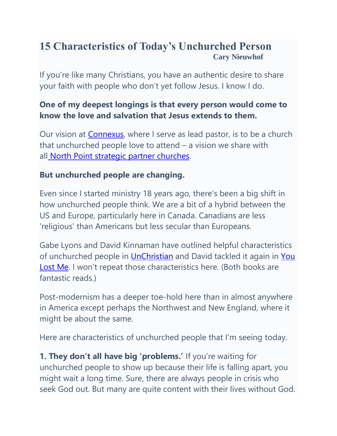## **15 Characteristics of Today's Unchurched Person Cary Nieuwhof**

If you're like many Christians, you have an authentic desire to share your faith with people who don't yet follow Jesus. I know I do.

## **One of my deepest longings is that every person would come to know the love and salvation that Jesus extends to them.**

Our vision at [Connexus,](http://www.connexuscommunity.com/) where I serve as lead pastor, is to be a church that unchurched people love to attend – a vision we share with all [North Point strategic partner churches.](http://www.northpoint.org/)

## **But unchurched people are changing.**

Even since I started ministry 18 years ago, there's been a big shift in how unchurched people think. We are a bit of a hybrid between the US and Europe, particularly here in Canada. Canadians are less 'religious' than Americans but less secular than Europeans.

Gabe Lyons and David Kinnaman have outlined helpful characteristics of unchurched people in [UnChristian](http://www.amazon.com/unChristian-Generation-Really-Christianity-Matters/dp/0801072719/ref=sr_1_3?ie=UTF8&qid=1365159570&sr=8-3&keywords=david+kinnaman) and David tackled it again in [You](http://www.amazon.com/You-Lost-Christians-Church-Rethinking/dp/0801013143/ref=sr_1_1?s=books&ie=UTF8&qid=1365159654&sr=1-1&keywords=you+lost+me)  [Lost Me](http://www.amazon.com/You-Lost-Christians-Church-Rethinking/dp/0801013143/ref=sr_1_1?s=books&ie=UTF8&qid=1365159654&sr=1-1&keywords=you+lost+me). I won't repeat those characteristics here. (Both books are fantastic reads.)

Post-modernism has a deeper toe-hold here than in almost anywhere in America except perhaps the Northwest and New England, where it might be about the same.

Here are characteristics of unchurched people that I'm seeing today.

**1. They don't all have big 'problems.'** If you're waiting for unchurched people to show up because their life is falling apart, you might wait a long time. Sure, there are always people in crisis who seek God out. But many are quite content with their lives without God.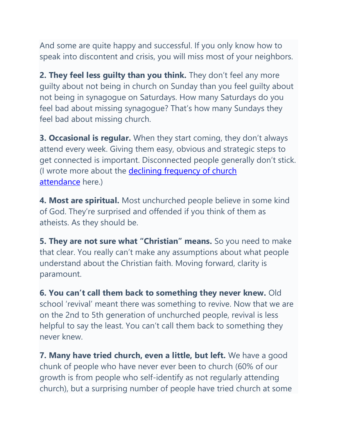And some are quite happy and successful. If you only know how to speak into discontent and crisis, you will miss most of your neighbors.

**2. They feel less guilty than you think.** They don't feel any more guilty about not being in church on Sunday than you feel guilty about not being in synagogue on Saturdays. How many Saturdays do you feel bad about missing synagogue? That's how many Sundays they feel bad about missing church.

**3. Occasional is regular.** When they start coming, they don't always attend every week. Giving them easy, obvious and strategic steps to get connected is important. Disconnected people generally don't stick. (I wrote more about the **declining frequency of church** [attendance](https://careynieuwhof.com/2013/04/7-ways-to-respond-as-people-attend-church-less-often/) here.)

**4. Most are spiritual.** Most unchurched people believe in some kind of God. They're surprised and offended if you think of them as atheists. As they should be.

**5. They are not sure what "Christian" means.** So you need to make that clear. You really can't make any assumptions about what people understand about the Christian faith. Moving forward, clarity is paramount.

**6. You can't call them back to something they never knew.** Old school 'revival' meant there was something to revive. Now that we are on the 2nd to 5th generation of unchurched people, revival is less helpful to say the least. You can't call them back to something they never knew.

**7. Many have tried church, even a little, but left.** We have a good chunk of people who have never ever been to church (60% of our growth is from people who self-identify as not regularly attending church), but a surprising number of people have tried church at some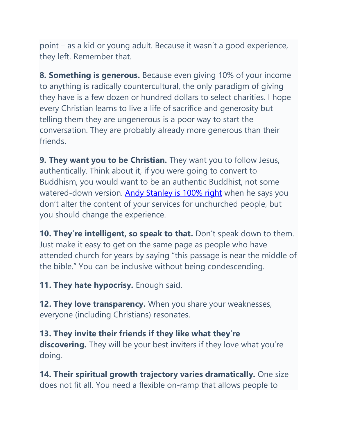point – as a kid or young adult. Because it wasn't a good experience, they left. Remember that.

**8. Something is generous.** Because even giving 10% of your income to anything is radically countercultural, the only paradigm of giving they have is a few dozen or hundred dollars to select charities. I hope every Christian learns to live a life of sacrifice and generosity but telling them they are ungenerous is a poor way to start the conversation. They are probably already more generous than their friends.

**9. They want you to be Christian.** They want you to follow Jesus, authentically. Think about it, if you were going to convert to Buddhism, you would want to be an authentic Buddhist, not some watered-down version. [Andy Stanley is 100% right](https://careynieuwhof.com/2013/03/21-key-learnings-from-andy-stanley-and-the-drive-conference/) when he says you don't alter the content of your services for unchurched people, but you should change the experience.

**10. They're intelligent, so speak to that.** Don't speak down to them. Just make it easy to get on the same page as people who have attended church for years by saying "this passage is near the middle of the bible." You can be inclusive without being condescending.

**11. They hate hypocrisy.** Enough said.

**12. They love transparency.** When you share your weaknesses, everyone (including Christians) resonates.

**13. They invite their friends if they like what they're discovering.** They will be your best inviters if they love what you're doing.

**14. Their spiritual growth trajectory varies dramatically.** One size does not fit all. You need a flexible on-ramp that allows people to